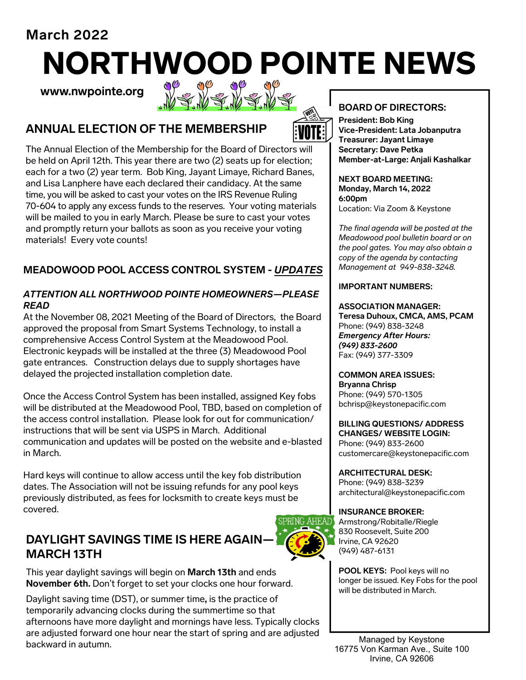**March 2022** 

# NORTHWOOD POINTE NEWS<br>www.nwpointe.org WWWWWWWW

**www.nwpointe.org** 





The Annual Election of the Membership for the Board of Directors will be held on April 12th. This year there are two (2) seats up for election; each for a two (2) year term. Bob King, Jayant Limaye, Richard Banes, and Lisa Lanphere have each declared their candidacy. At the same time, you will be asked to cast your votes on the IRS Revenue Ruling 70-604 to apply any excess funds to the reserves. Your voting materials will be mailed to you in early March. Please be sure to cast your votes and promptly return your ballots as soon as you receive your voting materials! Every vote counts!

# **MEADOWOOD POOL ACCESS CONTROL SYSTEM -** *UPDATES*

### *ATTENTION ALL NORTHWOOD POINTE HOMEOWNERS—PLEASE READ*

At the November 08, 2021 Meeting of the Board of Directors, the Board approved the proposal from Smart Systems Technology, to install a comprehensive Access Control System at the Meadowood Pool. Electronic keypads will be installed at the three (3) Meadowood Pool gate entrances. Construction delays due to supply shortages have delayed the projected installation completion date.

Once the Access Control System has been installed, assigned Key fobs will be distributed at the Meadowood Pool, TBD, based on completion of the access control installation. Please look for out for communication/ instructions that will be sent via USPS in March. Additional communication and updates will be posted on the website and e-blasted in March.

Hard keys will continue to allow access until the key fob distribution dates. The Association will not be issuing refunds for any pool keys previously distributed, as fees for locksmith to create keys must be covered.

# **DAYLIGHT SAVINGS TIME IS HERE AGAIN— MARCH 13TH**



This year daylight savings will begin on **March 13th** and ends **November 6th.** Don't forget to set your clocks one hour forward.

Daylight saving time (DST), or summer time**,** is the practice of temporarily advancing clocks during the summertime so that afternoons have more daylight and mornings have less. Typically clocks are adjusted forward one hour near the start of spring and are adjusted backward in autumn.

# **BOARD OF DIRECTORS:**

**President: Bob King Vice-President: Lata Jobanputra Treasurer: Jayant Limaye Secretary: Dave Petka Member-at-Large: Anjali Kashalkar** 

**NEXT BOARD MEETING: Monday, March 14, 2022 6:00pm**  Location: Via Zoom & Keystone

*The final agenda will be posted at the Meadowood pool bulletin board or on the pool gates. You may also obtain a copy of the agenda by contacting Management at 949-838-3248.*

#### **IMPORTANT NUMBERS:**

**ASSOCIATION MANAGER: Teresa Duhoux, CMCA, AMS, PCAM** Phone: (949) 838-3248 *Emergency After Hours: (949) 833-2600* Fax: (949) 377-3309

#### **COMMON AREA ISSUES: Bryanna Chrisp**  Phone: (949) 570-1305 bchrisp@keystonepacific.com

**BILLING QUESTIONS/ ADDRESS CHANGES/ WEBSITE LOGIN:**  Phone: (949) 833-2600 customercare@keystonepacific.com

**ARCHITECTURAL DESK:**  Phone: (949) 838-3239 architectural@keystonepacific.com

**INSURANCE BROKER:**  Armstrong/Robitalle/Riegle 830 Roosevelt, Suite 200 Irvine, CA 92620 (949) 487-6131

**POOL KEYS:** Pool keys will no longer be issued. Key Fobs for the pool will be distributed in March.

Managed by Keystone 16775 Von Karman Ave., Suite 100 Irvine, CA 92606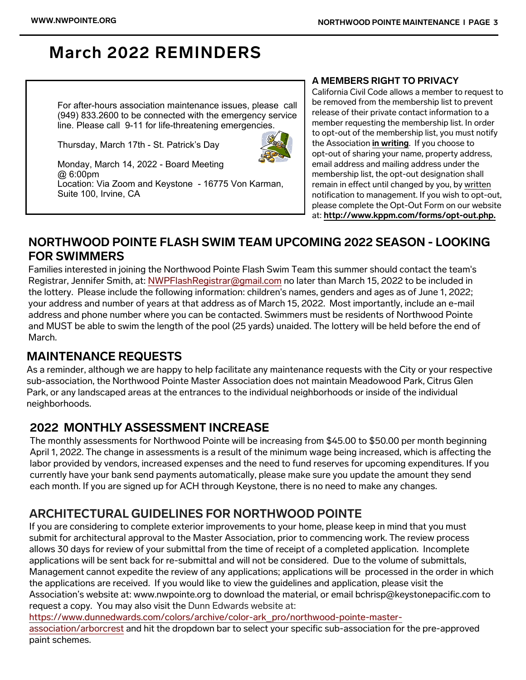# **March 2022 REMINDERS**

 For after-hours association maintenance issues, please call (949) 833.2600 to be connected with the emergency service line. Please call 9-11 for life-threatening emergencies.

Thursday, March 17th - St. Patrick's Day



 Monday, March 14, 2022 - Board Meeting @ 6:00pm Location: Via Zoom and Keystone - 16775 Von Karman, Suite 100, Irvine, CA

#### **A MEMBERS RIGHT TO PRIVACY**

California Civil Code allows a member to request to be removed from the membership list to prevent release of their private contact information to a member requesting the membership list. In order to opt-out of the membership list, you must notify the Association **in writing**. If you choose to opt-out of sharing your name, property address, email address and mailing address under the membership list, the opt-out designation shall remain in effect until changed by you, by written notification to management. If you wish to opt-out, please complete the Opt-Out Form on our website at: **http://www.kppm.com/forms/opt-out.php.**

# **NORTHWOOD POINTE FLASH SWIM TEAM UPCOMING 2022 SEASON - LOOKING FOR SWIMMERS**

Families interested in joining the Northwood Pointe Flash Swim Team this summer should contact the team's Registrar, Jennifer Smith, at: NWPFlashRegistrar@gmail.com no later than March 15, 2022 to be included in the lottery. Please include the following information: children's names, genders and ages as of June 1, 2022; your address and number of years at that address as of March 15, 2022. Most importantly, include an e-mail address and phone number where you can be contacted. Swimmers must be residents of Northwood Pointe and MUST be able to swim the length of the pool (25 yards) unaided. The lottery will be held before the end of March.

# **MAINTENANCE REQUESTS**

As a reminder, although we are happy to help facilitate any maintenance requests with the City or your respective sub-association, the Northwood Pointe Master Association does not maintain Meadowood Park, Citrus Glen Park, or any landscaped areas at the entrances to the individual neighborhoods or inside of the individual neighborhoods.

# **2022 MONTHLY ASSESSMENT INCREASE**

The monthly assessments for Northwood Pointe will be increasing from \$45.00 to \$50.00 per month beginning April 1, 2022. The change in assessments is a result of the minimum wage being increased, which is affecting the labor provided by vendors, increased expenses and the need to fund reserves for upcoming expenditures. If you currently have your bank send payments automatically, please make sure you update the amount they send each month. If you are signed up for ACH through Keystone, there is no need to make any changes.

# **ARCHITECTURAL GUIDELINES FOR NORTHWOOD POINTE**

If you are considering to complete exterior improvements to your home, please keep in mind that you must submit for architectural approval to the Master Association, prior to commencing work. The review process allows 30 days for review of your submittal from the time of receipt of a completed application. Incomplete applications will be sent back for re-submittal and will not be considered. Due to the volume of submittals, Management cannot expedite the review of any applications; applications will be processed in the order in which the applications are received. If you would like to view the guidelines and application, please visit the Association's website at: www.nwpointe.org to download the material, or email bchrisp@keystonepacific.com to request a copy. You may also visit the Dunn Edwards website at:

https://www.dunnedwards.com/colors/archive/color-ark\_pro/northwood-pointe-master-

association/arborcrest and hit the dropdown bar to select your specific sub-association for the pre-approved paint schemes.